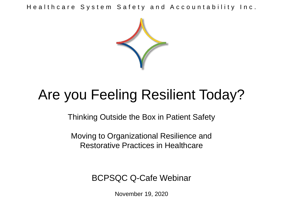Healthcare System Safety and Accountability Inc.



# Are you Feeling Resilient Today?

Thinking Outside the Box in Patient Safety

Moving to Organizational Resilience and Restorative Practices in Healthcare

BCPSQC Q-Cafe Webinar

November 19, 2020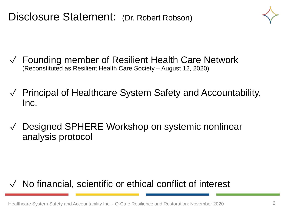Disclosure Statement: (Dr. Robert Robson)

- ✓ Founding member of Resilient Health Care Network (Reconstituted as Resilient Health Care Society – August 12, 2020)
- ✓ Principal of Healthcare System Safety and Accountability, Inc.
- ✓ Designed SPHERE Workshop on systemic nonlinear analysis protocol

#### ✓ No financial, scientific or ethical conflict of interest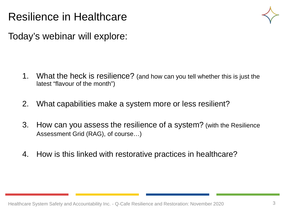#### Resilience in Healthcare



Today's webinar will explore:

- 1. What the heck is resilience? (and how can you tell whether this is just the latest "flavour of the month")
- 2. What capabilities make a system more or less resilient?
- 3. How can you assess the resilience of a system? (with the Resilience Assessment Grid (RAG), of course…)
- 4. How is this linked with restorative practices in healthcare?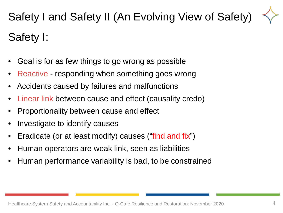Safety I and Safety II (An Evolving View of Safety) Safety I:

- Goal is for as few things to go wrong as possible
- Reactive responding when something goes wrong
- Accidents caused by failures and malfunctions
- Linear link between cause and effect (causality credo)
- Proportionality between cause and effect
- Investigate to identify causes
- Eradicate (or at least modify) causes ("find and fix")
- Human operators are weak link, seen as liabilities
- Human performance variability is bad, to be constrained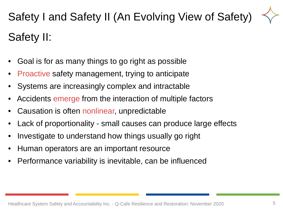Safety I and Safety II (An Evolving View of Safety) Safety II:

- Goal is for as many things to go right as possible
- Proactive safety management, trying to anticipate
- Systems are increasingly complex and intractable
- Accidents emerge from the interaction of multiple factors
- Causation is often nonlinear, unpredictable
- Lack of proportionality small causes can produce large effects
- Investigate to understand how things usually go right
- Human operators are an important resource
- Performance variability is inevitable, can be influenced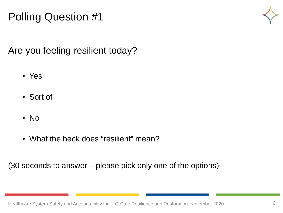## Polling Question #1



Are you feeling resilient today?

- Yes
- Sort of
- No
- What the heck does "resilient" mean?

(30 seconds to answer – please pick only one of the options)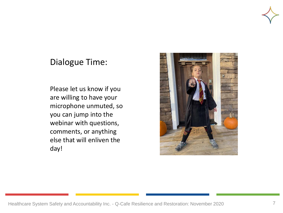

#### Dialogue Time:

Please let us know if you are willing to have your microphone unmuted, so you can jump into the webinar with questions, comments, or anything else that will enliven the day!

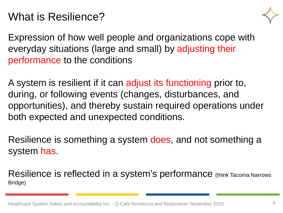#### What is Resilience?



Expression of how well people and organizations cope with everyday situations (large and small) by adjusting their performance to the conditions

A system is resilient if it can adjust its functioning prior to, during, or following events (changes, disturbances, and opportunities), and thereby sustain required operations under both expected and unexpected conditions.

Resilience is something a system does, and not something a system has.

Resilience is reflected in a system's performance (think Tacoma Narrows Bridge)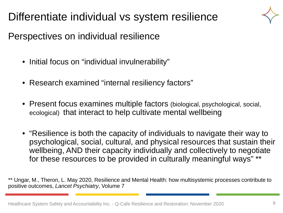Differentiate individual vs system resilience



Perspectives on individual resilience

- Initial focus on "individual invulnerability"
- Research examined "internal resiliency factors"
- Present focus examines multiple factors (biological, psychological, social, ecological) that interact to help cultivate mental wellbeing
- "Resilience is both the capacity of individuals to navigate their way to psychological, social, cultural, and physical resources that sustain their wellbeing, AND their capacity individually and collectively to negotiate for these resources to be provided in culturally meaningful ways" \*\*

\*\* Ungar, M., Theron, L. May 2020, Resilience and Mental Health: how multisystemic processes contribute to positive outcomes, *Lancet Psychiatry*, Volume 7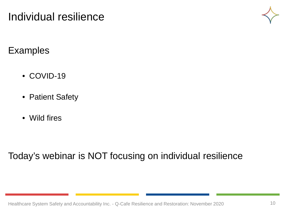#### Individual resilience



**Examples** 

- COVID-19
- Patient Safety
- Wild fires

Today's webinar is NOT focusing on individual resilience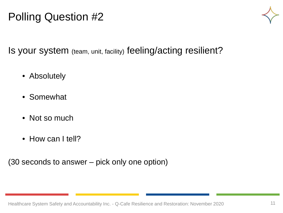## Polling Question #2



Is your system (team, unit, facility) feeling/acting resilient?

- Absolutely
- Somewhat
- Not so much
- How can I tell?

(30 seconds to answer – pick only one option)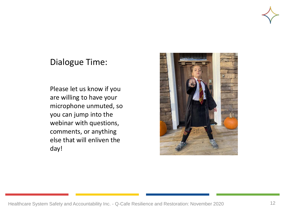

#### Dialogue Time:

Please let us know if you are willing to have your microphone unmuted, so you can jump into the webinar with questions, comments, or anything else that will enliven the day!

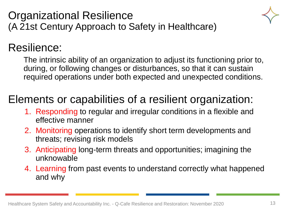



#### Resilience:

The intrinsic ability of an organization to adjust its functioning prior to, during, or following changes or disturbances, so that it can sustain required operations under both expected and unexpected conditions.

## Elements or capabilities of a resilient organization:

- 1. Responding to regular and irregular conditions in a flexible and effective manner
- 2. Monitoring operations to identify short term developments and threats; revising risk models
- 3. Anticipating long-term threats and opportunities; imagining the unknowable
- 4. Learning from past events to understand correctly what happened and why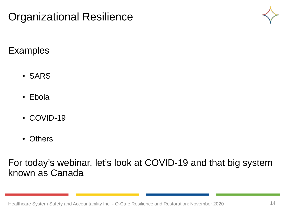



Examples

- SARS
- Ebola
- COVID-19
- **Others**

For today's webinar, let's look at COVID-19 and that big system known as Canada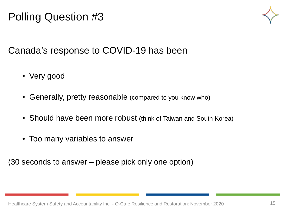## Polling Question #3



Canada's response to COVID-19 has been

- Very good
- Generally, pretty reasonable (compared to you know who)
- Should have been more robust (think of Taiwan and South Korea)
- Too many variables to answer

(30 seconds to answer – please pick only one option)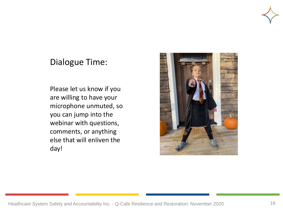

#### Dialogue Time:

Please let us know if you are willing to have your microphone unmuted, so you can jump into the webinar with questions, comments, or anything else that will enliven the day!

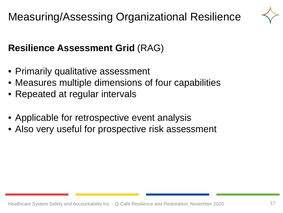

#### **Resilience Assessment Grid** (RAG)

- Primarily qualitative assessment
- Measures multiple dimensions of four capabilities
- Repeated at regular intervals
- Applicable for retrospective event analysis
- Also very useful for prospective risk assessment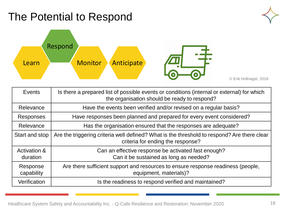## The Potential to Respond





| Events                              | Is there a prepared list of possible events or conditions (internal or external) for which<br>the organisation should be ready to respond? |
|-------------------------------------|--------------------------------------------------------------------------------------------------------------------------------------------|
| Relevance                           | Have the events been verified and/or revised on a regular basis?                                                                           |
| Responses                           | Have responses been planned and prepared for every event considered?                                                                       |
| Relevance                           | Has the organisation ensured that the responses are adequate?                                                                              |
| Start and stop                      | Are the triggering criteria well defined? What is the threshold to respond? Are there clear<br>criteria for ending the response?           |
| <b>Activation &amp;</b><br>duration | Can an effective response be activated fast enough?<br>Can it be sustained as long as needed?                                              |
| Response<br>capability              | Are there sufficient support and resources to ensure response readiness (people,<br>equipment, materials)?                                 |
| Verification                        | Is the readiness to respond verified and maintained?                                                                                       |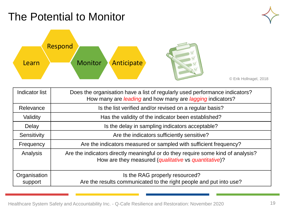## The Potential to Monitor





| <b>Indicator list</b>   | Does the organisation have a list of regularly used performance indicators?<br>How many are <i>leading</i> and how many are <i>lagging</i> indicators? |
|-------------------------|--------------------------------------------------------------------------------------------------------------------------------------------------------|
| Relevance               | Is the list verified and/or revised on a regular basis?                                                                                                |
| Validity                | Has the validity of the indicator been established?                                                                                                    |
| Delay                   | Is the delay in sampling indicators acceptable?                                                                                                        |
| Sensitivity             | Are the indicators sufficiently sensitive?                                                                                                             |
| Frequency               | Are the indicators measured or sampled with sufficient frequency?                                                                                      |
| Analysis                | Are the indicators directly meaningful or do they require some kind of analysis?<br>How are they measured (qualitative vs quantitative)?               |
| Organisation<br>support | Is the RAG properly resourced?<br>Are the results communicated to the right people and put into use?                                                   |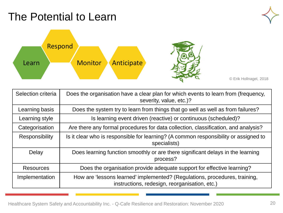## The Potential to Learn





| Selection criteria    | Does the organisation have a clear plan for which events to learn from (frequency,<br>severity, value, etc.)?               |
|-----------------------|-----------------------------------------------------------------------------------------------------------------------------|
| Learning basis        | Does the system try to learn from things that go well as well as from failures?                                             |
| Learning style        | Is learning event driven (reactive) or continuous (scheduled)?                                                              |
| Categorisation        | Are there any formal procedures for data collection, classification, and analysis?                                          |
| <b>Responsibility</b> | Is it clear who is responsible for learning? (A common responsibility or assigned to<br>specialists)                        |
| Delay                 | Does learning function smoothly or are there significant delays in the learning<br>process?                                 |
| <b>Resources</b>      | Does the organisation provide adequate support for effective learning?                                                      |
| Implementation        | How are 'lessons learned' implemented? (Regulations, procedures, training,<br>instructions, redesign, reorganisation, etc.) |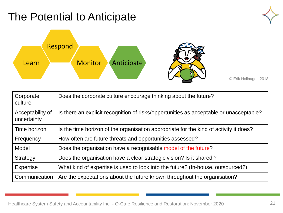## The Potential to Anticipate





| Corporate<br>culture            | Does the corporate culture encourage thinking about the future?                        |
|---------------------------------|----------------------------------------------------------------------------------------|
| Acceptability of<br>uncertainty | Is there an explicit recognition of risks/opportunities as acceptable or unacceptable? |
| Time horizon                    | Is the time horizon of the organisation appropriate for the kind of activity it does?  |
| Frequency                       | How often are future threats and opportunities assessed?                               |
| Model                           | Does the organisation have a recognisable model of the future?                         |
| Strategy                        | Does the organisation have a clear strategic vision? Is it shared?                     |
| <b>Expertise</b>                | What kind of expertise is used to look into the future? (In-house, outsourced?)        |
| Communication                   | Are the expectations about the future known throughout the organisation?               |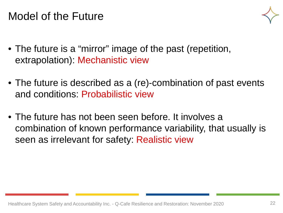#### Model of the Future



- The future is a "mirror" image of the past (repetition, extrapolation): Mechanistic view
- The future is described as a (re)-combination of past events and conditions: Probabilistic view
- The future has not been seen before. It involves a combination of known performance variability, that usually is seen as irrelevant for safety: Realistic view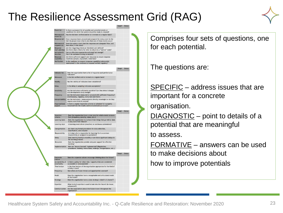#### The Resilience Assessment Grid (RAG)



Is there a prepared list of possible and potential events or conditions for which the system should be ready to respond? Has the list been verified and/or is it revised on a regular basis vent list responses been planned and prepared for every event in the list? Do people know what to do when one of these events occur Does the system check that the responses are adequate? How, an how often, is this done? esponse set Are the triggering criteria or threshold well defined? start and stop Are there clear criteria for when to return to a "normal" state **Activation &** Can an effective response be activated fast enough? duration Can it be sustained as long as needed Are there sufficient support and resources to ensure response readiness (people, equipment, materials)? **lerification** Is the readiness to respond (response capability) adequately intained? Is the readiness to respond verified regularly

| <b>Indicator list</b>                   | Does the organisation have a list of regularly used performance<br>indicators?                                              |
|-----------------------------------------|-----------------------------------------------------------------------------------------------------------------------------|
| <b>Relevance</b>                        | Is the list verified and/or revised on a regular basis?                                                                     |
| Validity                                | Has the validity of indicators been established?                                                                            |
| Delay                                   | Is the delay in sampling indicators acceptable?                                                                             |
| Sensitivity                             | Are the indicators sufficiently sensitive? Can they detect changes<br>and developments early enough?                        |
| Frequency                               | Are the indicators measured or sampled with sufficient frequency?<br>(Continuously, regularly, every now and then?).        |
| Interpretability                        | Are the indicators / measurements directly meaningful or do they<br>require some kind of analysis?                          |
| <b>Organisational</b><br><b>SUDDOIT</b> | Is there a regular inspection scheme or schedule? Is it properly<br>resourced? Are the results communicated and put to use? |

| <b>Selection</b><br>criteria | Does the organisation have a clear plan for which events to learn<br>from (frequency, severity, value, etc.)?               |  |
|------------------------------|-----------------------------------------------------------------------------------------------------------------------------|--|
| Learning basis               | Does the organisation try to learn from things that go well or does<br>it only learn from failures?                         |  |
| Learning style               | Is learning event driven (reactive) or continuous (scheduled)?                                                              |  |
| Categorisation               | Are there any formal procedures for data collection.<br>classification, and analysis?                                       |  |
| Responsibility               | Is it clear who is responsible for learning? (Is it a common-<br>responsibility or assigned to specialists?)                |  |
| Delay                        | Does learning function smoothly or are there significant delays in<br>the learning process?                                 |  |
| <b>Resources</b>             | Does the organisation provide adequate support for effective<br>learning?                                                   |  |
| Implementation               | How are 'lessons learned' implemented? (Regulations,<br>procedures, training, instructions, redesign, reorganisation, etc.) |  |

| Corporate<br>culture            | Does the corporate culture encourage thinking about the future?                                |  |
|---------------------------------|------------------------------------------------------------------------------------------------|--|
| Acceptability of<br>uncertainty | Is there a policy for when risks / opportunities are considered<br>acceptable or unacceptable? |  |
| Time horizon                    | Is the time horizon of the organisation appropriate for the kind of<br>activity it does?       |  |
| Frequency                       | How often are future threat and opportunities assessed?                                        |  |
| Model                           | Does the organisation have a recognisable and articulated model<br>of the future?              |  |
| Strategy                        | Does the organisation have a clear strategic vision? Is it shared'?                            |  |
| Expertise                       | What kind of expertise is used to look into the future? (In-house,<br>outsourced?)             |  |
| Communication                   | Are the expectations about the future known throughout the<br>organisation?                    |  |

Comprises four sets of questions, one for each potential.

The questions are:

SPECIFIC – address issues that are important for a concrete

organisation.

DIAGNOSTIC – point to details of a potential that are meaningful

to assess.

FORMATIVE – answers can be used to make decisions about

how to improve potentials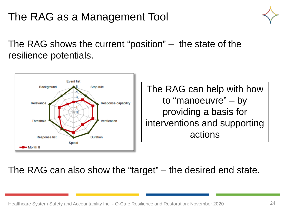## The RAG as a Management Tool



The RAG shows the current "position" – the state of the resilience potentials.



The RAG can also show the "target" – the desired end state.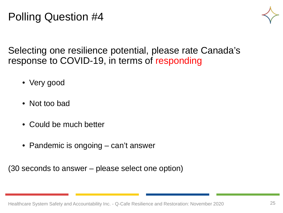#### Polling Question #4



Selecting one resilience potential, please rate Canada's response to COVID-19, in terms of responding

- Very good
- Not too bad
- Could be much better
- Pandemic is ongoing can't answer

(30 seconds to answer – please select one option)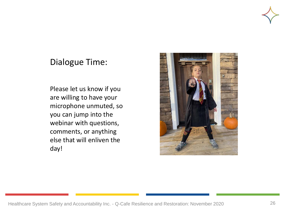

#### Dialogue Time:

Please let us know if you are willing to have your microphone unmuted, so you can jump into the webinar with questions, comments, or anything else that will enliven the day!

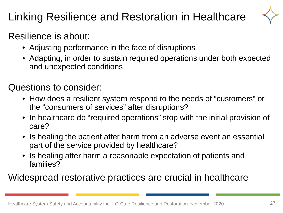## Linking Resilience and Restoration in Healthcare



#### Resilience is about:

- Adjusting performance in the face of disruptions
- Adapting, in order to sustain required operations under both expected and unexpected conditions

#### Questions to consider:

- How does a resilient system respond to the needs of "customers" or the "consumers of services" after disruptions?
- In healthcare do "required operations" stop with the initial provision of care?
- Is healing the patient after harm from an adverse event an essential part of the service provided by healthcare?
- Is healing after harm a reasonable expectation of patients and families?

Widespread restorative practices are crucial in healthcare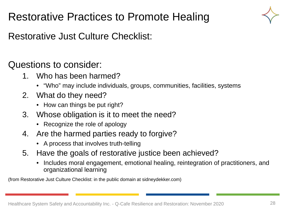## Restorative Practices to Promote Healing



Restorative Just Culture Checklist:

Questions to consider:

- 1. Who has been harmed?
	- "Who" may include individuals, groups, communities, facilities, systems
- 2. What do they need?
	- How can things be put right?
- 3. Whose obligation is it to meet the need?
	- Recognize the role of apology
- 4. Are the harmed parties ready to forgive?
	- A process that involves truth-telling
- 5. Have the goals of restorative justice been achieved?
	- Includes moral engagement, emotional healing, reintegration of practitioners, and organizational learning

(from Restorative Just Culture Checklist: in the public domain at sidneydekker.com)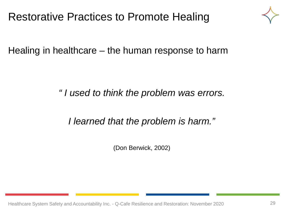#### Restorative Practices to Promote Healing



Healing in healthcare – the human response to harm

*" I used to think the problem was errors.*

*I learned that the problem is harm."*

(Don Berwick, 2002)